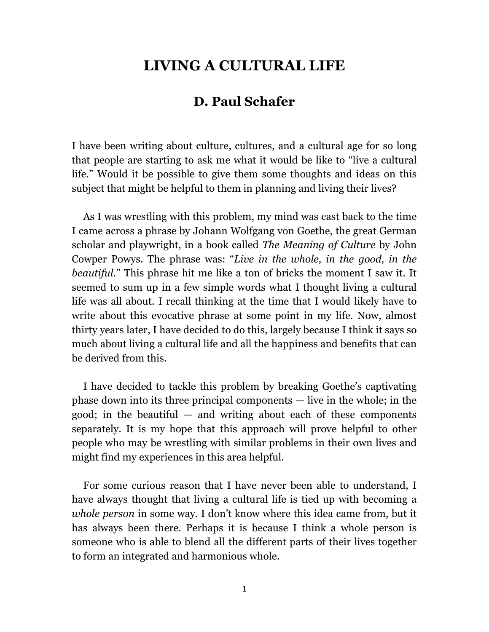## **LIVING A CULTURAL LIFE**

## **D. Paul Schafer**

I have been writing about culture, cultures, and a cultural age for so long that people are starting to ask me what it would be like to "live a cultural life." Would it be possible to give them some thoughts and ideas on this subject that might be helpful to them in planning and living their lives?

As I was wrestling with this problem, my mind was cast back to the time I came across a phrase by Johann Wolfgang von Goethe, the great German scholar and playwright, in a book called *The Meaning of Culture* by John Cowper Powys. The phrase was: "*Live in the whole, in the good, in the beautiful.*" This phrase hit me like a ton of bricks the moment I saw it. It seemed to sum up in a few simple words what I thought living a cultural life was all about. I recall thinking at the time that I would likely have to write about this evocative phrase at some point in my life. Now, almost thirty years later, I have decided to do this, largely because I think it says so much about living a cultural life and all the happiness and benefits that can be derived from this.

I have decided to tackle this problem by breaking Goethe's captivating phase down into its three principal components — live in the whole; in the good; in the beautiful  $-$  and writing about each of these components separately. It is my hope that this approach will prove helpful to other people who may be wrestling with similar problems in their own lives and might find my experiences in this area helpful.

For some curious reason that I have never been able to understand, I have always thought that living a cultural life is tied up with becoming a *whole person* in some way*.* I don't know where this idea came from, but it has always been there. Perhaps it is because I think a whole person is someone who is able to blend all the different parts of their lives together to form an integrated and harmonious whole.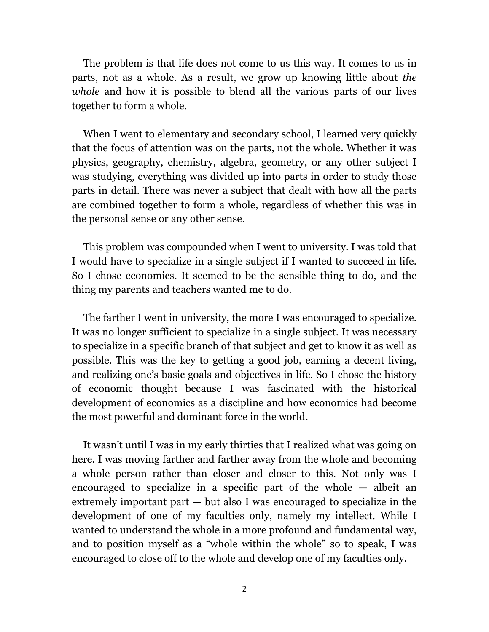The problem is that life does not come to us this way. It comes to us in parts, not as a whole. As a result, we grow up knowing little about *the whole* and how it is possible to blend all the various parts of our lives together to form a whole.

When I went to elementary and secondary school, I learned very quickly that the focus of attention was on the parts, not the whole. Whether it was physics, geography, chemistry, algebra, geometry, or any other subject I was studying, everything was divided up into parts in order to study those parts in detail. There was never a subject that dealt with how all the parts are combined together to form a whole, regardless of whether this was in the personal sense or any other sense.

This problem was compounded when I went to university. I was told that I would have to specialize in a single subject if I wanted to succeed in life. So I chose economics. It seemed to be the sensible thing to do, and the thing my parents and teachers wanted me to do.

The farther I went in university, the more I was encouraged to specialize. It was no longer sufficient to specialize in a single subject. It was necessary to specialize in a specific branch of that subject and get to know it as well as possible. This was the key to getting a good job, earning a decent living, and realizing one's basic goals and objectives in life. So I chose the history of economic thought because I was fascinated with the historical development of economics as a discipline and how economics had become the most powerful and dominant force in the world.

It wasn't until I was in my early thirties that I realized what was going on here. I was moving farther and farther away from the whole and becoming a whole person rather than closer and closer to this. Not only was I encouraged to specialize in a specific part of the whole — albeit an extremely important part — but also I was encouraged to specialize in the development of one of my faculties only, namely my intellect. While I wanted to understand the whole in a more profound and fundamental way, and to position myself as a "whole within the whole" so to speak, I was encouraged to close off to the whole and develop one of my faculties only.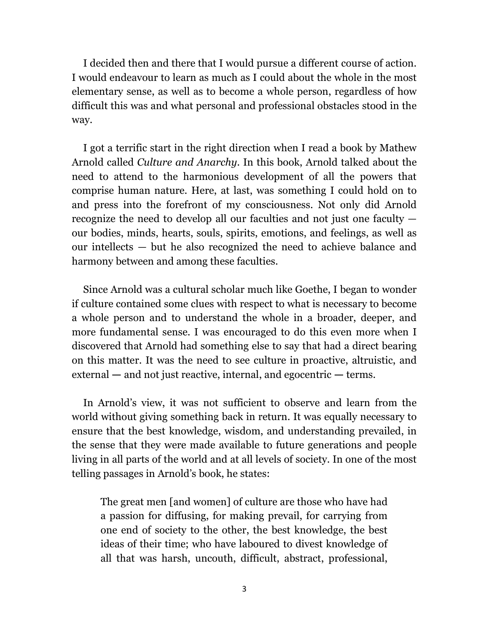I decided then and there that I would pursue a different course of action. I would endeavour to learn as much as I could about the whole in the most elementary sense, as well as to become a whole person, regardless of how difficult this was and what personal and professional obstacles stood in the way.

I got a terrific start in the right direction when I read a book by Mathew Arnold called *Culture and Anarchy*. In this book, Arnold talked about the need to attend to the harmonious development of all the powers that comprise human nature. Here, at last, was something I could hold on to and press into the forefront of my consciousness. Not only did Arnold recognize the need to develop all our faculties and not just one faculty our bodies, minds, hearts, souls, spirits, emotions, and feelings, as well as our intellects — but he also recognized the need to achieve balance and harmony between and among these faculties.

Since Arnold was a cultural scholar much like Goethe, I began to wonder if culture contained some clues with respect to what is necessary to become a whole person and to understand the whole in a broader, deeper, and more fundamental sense. I was encouraged to do this even more when I discovered that Arnold had something else to say that had a direct bearing on this matter. It was the need to see culture in proactive, altruistic, and external **—** and not just reactive, internal, and egocentric **—** terms.

In Arnold's view, it was not sufficient to observe and learn from the world without giving something back in return. It was equally necessary to ensure that the best knowledge, wisdom, and understanding prevailed, in the sense that they were made available to future generations and people living in all parts of the world and at all levels of society. In one of the most telling passages in Arnold's book, he states:

The great men [and women] of culture are those who have had a passion for diffusing, for making prevail, for carrying from one end of society to the other, the best knowledge, the best ideas of their time; who have laboured to divest knowledge of all that was harsh, uncouth, difficult, abstract, professional,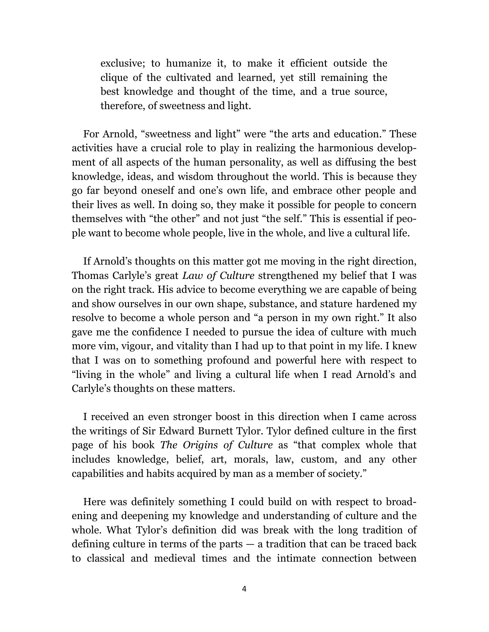exclusive; to humanize it, to make it efficient outside the clique of the cultivated and learned, yet still remaining the best knowledge and thought of the time, and a true source, therefore, of sweetness and light.

For Arnold, "sweetness and light" were "the arts and education." These activities have a crucial role to play in realizing the harmonious development of all aspects of the human personality, as well as diffusing the best knowledge, ideas, and wisdom throughout the world. This is because they go far beyond oneself and one's own life, and embrace other people and their lives as well. In doing so, they make it possible for people to concern themselves with "the other" and not just "the self." This is essential if people want to become whole people, live in the whole, and live a cultural life.

If Arnold's thoughts on this matter got me moving in the right direction, Thomas Carlyle's great *Law of Culture* strengthened my belief that I was on the right track. His advice to become everything we are capable of being and show ourselves in our own shape, substance, and stature hardened my resolve to become a whole person and "a person in my own right." It also gave me the confidence I needed to pursue the idea of culture with much more vim, vigour, and vitality than I had up to that point in my life. I knew that I was on to something profound and powerful here with respect to "living in the whole" and living a cultural life when I read Arnold's and Carlyle's thoughts on these matters.

I received an even stronger boost in this direction when I came across the writings of Sir Edward Burnett Tylor. Tylor defined culture in the first page of his book *The Origins of Culture* as "that complex whole that includes knowledge, belief, art, morals, law, custom, and any other capabilities and habits acquired by man as a member of society."

Here was definitely something I could build on with respect to broadening and deepening my knowledge and understanding of culture and the whole. What Tylor's definition did was break with the long tradition of defining culture in terms of the parts — a tradition that can be traced back to classical and medieval times and the intimate connection between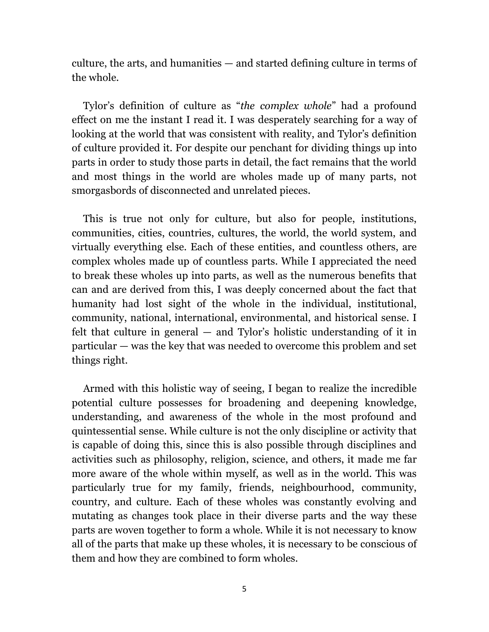culture, the arts, and humanities — and started defining culture in terms of the whole.

Tylor's definition of culture as "*the complex whole*" had a profound effect on me the instant I read it. I was desperately searching for a way of looking at the world that was consistent with reality, and Tylor's definition of culture provided it. For despite our penchant for dividing things up into parts in order to study those parts in detail, the fact remains that the world and most things in the world are wholes made up of many parts, not smorgasbords of disconnected and unrelated pieces.

This is true not only for culture, but also for people, institutions, communities, cities, countries, cultures, the world, the world system, and virtually everything else. Each of these entities, and countless others, are complex wholes made up of countless parts. While I appreciated the need to break these wholes up into parts, as well as the numerous benefits that can and are derived from this, I was deeply concerned about the fact that humanity had lost sight of the whole in the individual, institutional, community, national, international, environmental, and historical sense. I felt that culture in general — and Tylor's holistic understanding of it in particular — was the key that was needed to overcome this problem and set things right.

Armed with this holistic way of seeing, I began to realize the incredible potential culture possesses for broadening and deepening knowledge, understanding, and awareness of the whole in the most profound and quintessential sense. While culture is not the only discipline or activity that is capable of doing this, since this is also possible through disciplines and activities such as philosophy, religion, science, and others, it made me far more aware of the whole within myself, as well as in the world. This was particularly true for my family, friends, neighbourhood, community, country, and culture. Each of these wholes was constantly evolving and mutating as changes took place in their diverse parts and the way these parts are woven together to form a whole. While it is not necessary to know all of the parts that make up these wholes, it is necessary to be conscious of them and how they are combined to form wholes.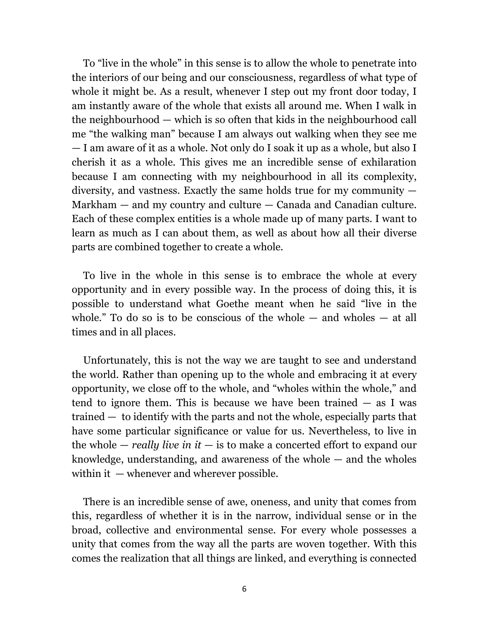To "live in the whole" in this sense is to allow the whole to penetrate into the interiors of our being and our consciousness, regardless of what type of whole it might be. As a result, whenever I step out my front door today, I am instantly aware of the whole that exists all around me. When I walk in the neighbourhood — which is so often that kids in the neighbourhood call me "the walking man" because I am always out walking when they see me — I am aware of it as a whole. Not only do I soak it up as a whole, but also I cherish it as a whole. This gives me an incredible sense of exhilaration because I am connecting with my neighbourhood in all its complexity, diversity, and vastness. Exactly the same holds true for my community — Markham — and my country and culture — Canada and Canadian culture. Each of these complex entities is a whole made up of many parts. I want to learn as much as I can about them, as well as about how all their diverse parts are combined together to create a whole.

To live in the whole in this sense is to embrace the whole at every opportunity and in every possible way. In the process of doing this, it is possible to understand what Goethe meant when he said "live in the whole." To do so is to be conscious of the whole  $-$  and wholes  $-$  at all times and in all places.

Unfortunately, this is not the way we are taught to see and understand the world. Rather than opening up to the whole and embracing it at every opportunity, we close off to the whole, and "wholes within the whole," and tend to ignore them. This is because we have been trained — as I was trained — to identify with the parts and not the whole, especially parts that have some particular significance or value for us. Nevertheless, to live in the whole — *really live in it* — is to make a concerted effort to expand our knowledge, understanding, and awareness of the whole  $-$  and the wholes within it — whenever and wherever possible.

There is an incredible sense of awe, oneness, and unity that comes from this, regardless of whether it is in the narrow, individual sense or in the broad, collective and environmental sense. For every whole possesses a unity that comes from the way all the parts are woven together. With this comes the realization that all things are linked, and everything is connected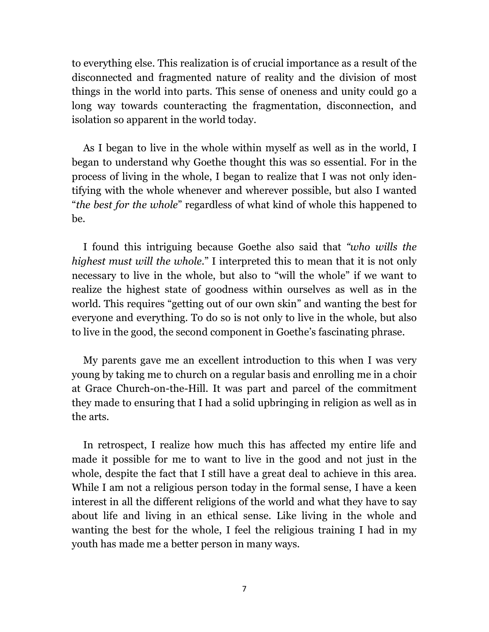to everything else. This realization is of crucial importance as a result of the disconnected and fragmented nature of reality and the division of most things in the world into parts. This sense of oneness and unity could go a long way towards counteracting the fragmentation, disconnection, and isolation so apparent in the world today.

As I began to live in the whole within myself as well as in the world, I began to understand why Goethe thought this was so essential. For in the process of living in the whole, I began to realize that I was not only identifying with the whole whenever and wherever possible, but also I wanted "*the best for the whole*" regardless of what kind of whole this happened to be.

I found this intriguing because Goethe also said that *"who wills the highest must will the whole*." I interpreted this to mean that it is not only necessary to live in the whole, but also to "will the whole" if we want to realize the highest state of goodness within ourselves as well as in the world. This requires "getting out of our own skin" and wanting the best for everyone and everything. To do so is not only to live in the whole, but also to live in the good, the second component in Goethe's fascinating phrase.

My parents gave me an excellent introduction to this when I was very young by taking me to church on a regular basis and enrolling me in a choir at Grace Church-on-the-Hill. It was part and parcel of the commitment they made to ensuring that I had a solid upbringing in religion as well as in the arts.

In retrospect, I realize how much this has affected my entire life and made it possible for me to want to live in the good and not just in the whole, despite the fact that I still have a great deal to achieve in this area. While I am not a religious person today in the formal sense, I have a keen interest in all the different religions of the world and what they have to say about life and living in an ethical sense. Like living in the whole and wanting the best for the whole, I feel the religious training I had in my youth has made me a better person in many ways.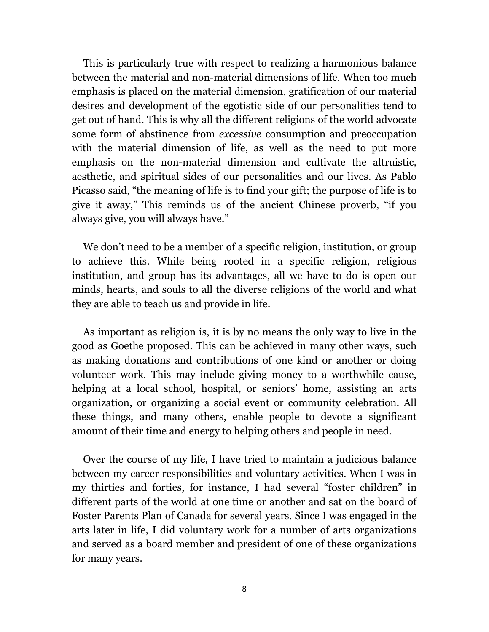This is particularly true with respect to realizing a harmonious balance between the material and non-material dimensions of life. When too much emphasis is placed on the material dimension, gratification of our material desires and development of the egotistic side of our personalities tend to get out of hand. This is why all the different religions of the world advocate some form of abstinence from *excessive* consumption and preoccupation with the material dimension of life, as well as the need to put more emphasis on the non-material dimension and cultivate the altruistic, aesthetic, and spiritual sides of our personalities and our lives. As Pablo Picasso said, "the meaning of life is to find your gift; the purpose of life is to give it away," This reminds us of the ancient Chinese proverb, "if you always give, you will always have."

We don't need to be a member of a specific religion, institution, or group to achieve this. While being rooted in a specific religion, religious institution, and group has its advantages, all we have to do is open our minds, hearts, and souls to all the diverse religions of the world and what they are able to teach us and provide in life.

As important as religion is, it is by no means the only way to live in the good as Goethe proposed. This can be achieved in many other ways, such as making donations and contributions of one kind or another or doing volunteer work. This may include giving money to a worthwhile cause, helping at a local school, hospital, or seniors' home, assisting an arts organization, or organizing a social event or community celebration. All these things, and many others, enable people to devote a significant amount of their time and energy to helping others and people in need.

Over the course of my life, I have tried to maintain a judicious balance between my career responsibilities and voluntary activities. When I was in my thirties and forties, for instance, I had several "foster children" in different parts of the world at one time or another and sat on the board of Foster Parents Plan of Canada for several years. Since I was engaged in the arts later in life, I did voluntary work for a number of arts organizations and served as a board member and president of one of these organizations for many years.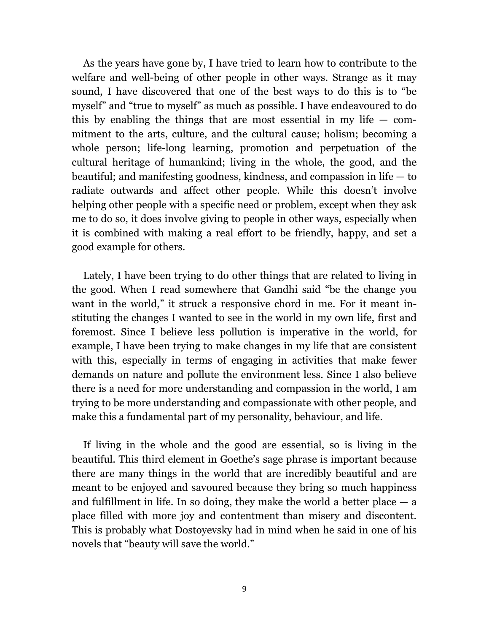As the years have gone by, I have tried to learn how to contribute to the welfare and well-being of other people in other ways. Strange as it may sound, I have discovered that one of the best ways to do this is to "be myself" and "true to myself" as much as possible. I have endeavoured to do this by enabling the things that are most essential in my life  $-$  commitment to the arts, culture, and the cultural cause; holism; becoming a whole person; life-long learning, promotion and perpetuation of the cultural heritage of humankind; living in the whole, the good, and the beautiful; and manifesting goodness, kindness, and compassion in life — to radiate outwards and affect other people. While this doesn't involve helping other people with a specific need or problem, except when they ask me to do so, it does involve giving to people in other ways, especially when it is combined with making a real effort to be friendly, happy, and set a good example for others.

Lately, I have been trying to do other things that are related to living in the good. When I read somewhere that Gandhi said "be the change you want in the world," it struck a responsive chord in me. For it meant instituting the changes I wanted to see in the world in my own life, first and foremost. Since I believe less pollution is imperative in the world, for example, I have been trying to make changes in my life that are consistent with this, especially in terms of engaging in activities that make fewer demands on nature and pollute the environment less. Since I also believe there is a need for more understanding and compassion in the world, I am trying to be more understanding and compassionate with other people, and make this a fundamental part of my personality, behaviour, and life.

If living in the whole and the good are essential, so is living in the beautiful. This third element in Goethe's sage phrase is important because there are many things in the world that are incredibly beautiful and are meant to be enjoyed and savoured because they bring so much happiness and fulfillment in life. In so doing, they make the world a better place  $-$  a place filled with more joy and contentment than misery and discontent. This is probably what Dostoyevsky had in mind when he said in one of his novels that "beauty will save the world."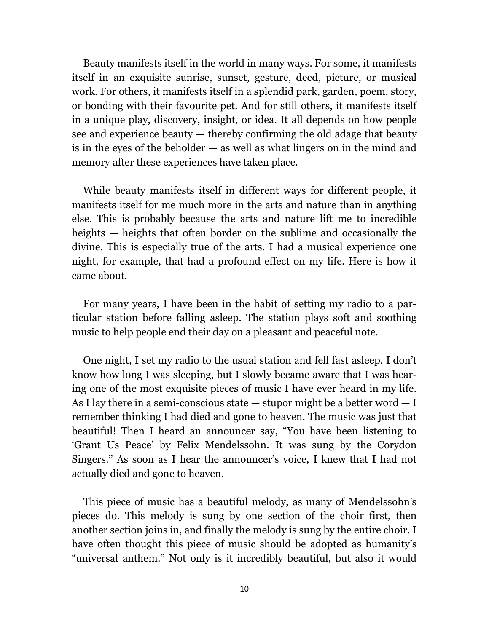Beauty manifests itself in the world in many ways. For some, it manifests itself in an exquisite sunrise, sunset, gesture, deed, picture, or musical work. For others, it manifests itself in a splendid park, garden, poem, story, or bonding with their favourite pet. And for still others, it manifests itself in a unique play, discovery, insight, or idea. It all depends on how people see and experience beauty — thereby confirming the old adage that beauty is in the eyes of the beholder — as well as what lingers on in the mind and memory after these experiences have taken place.

While beauty manifests itself in different ways for different people, it manifests itself for me much more in the arts and nature than in anything else. This is probably because the arts and nature lift me to incredible heights — heights that often border on the sublime and occasionally the divine. This is especially true of the arts. I had a musical experience one night, for example, that had a profound effect on my life. Here is how it came about.

For many years, I have been in the habit of setting my radio to a particular station before falling asleep. The station plays soft and soothing music to help people end their day on a pleasant and peaceful note.

One night, I set my radio to the usual station and fell fast asleep. I don't know how long I was sleeping, but I slowly became aware that I was hearing one of the most exquisite pieces of music I have ever heard in my life. As I lay there in a semi-conscious state — stupor might be a better word — I remember thinking I had died and gone to heaven. The music was just that beautiful! Then I heard an announcer say, "You have been listening to 'Grant Us Peace' by Felix Mendelssohn. It was sung by the Corydon Singers." As soon as I hear the announcer's voice, I knew that I had not actually died and gone to heaven.

This piece of music has a beautiful melody, as many of Mendelssohn's pieces do. This melody is sung by one section of the choir first, then another section joins in, and finally the melody is sung by the entire choir. I have often thought this piece of music should be adopted as humanity's "universal anthem." Not only is it incredibly beautiful, but also it would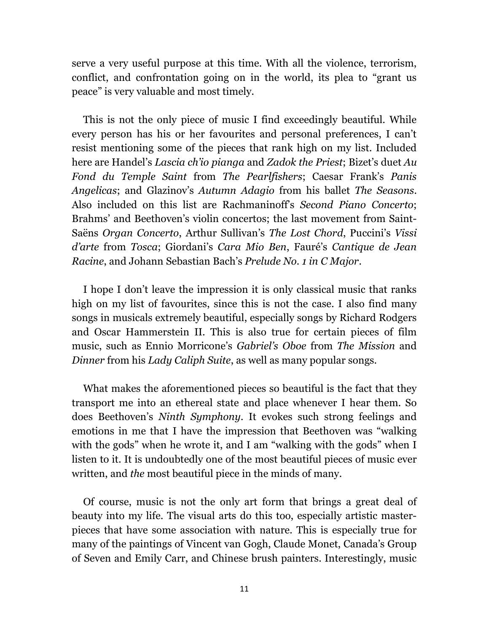serve a very useful purpose at this time. With all the violence, terrorism, conflict, and confrontation going on in the world, its plea to "grant us peace" is very valuable and most timely.

This is not the only piece of music I find exceedingly beautiful. While every person has his or her favourites and personal preferences, I can't resist mentioning some of the pieces that rank high on my list. Included here are Handel's *Lascia ch'io pianga* and *Zadok the Priest*; Bizet's duet *Au Fond du Temple Saint* from *The Pearlfishers*; Caesar Frank's *Panis Angelicas*; and Glazinov's *Autumn Adagio* from his ballet *The Seasons*. Also included on this list are Rachmaninoff's *Second Piano Concerto*; Brahms' and Beethoven's violin concertos; the last movement from Saint-Saëns *Organ Concerto*, Arthur Sullivan's *The Lost Chord*, Puccini's *Vissi d'arte* from *Tosca*; Giordani's *Cara Mio Ben*, Fauré's *Cantique de Jean Racine*, and Johann Sebastian Bach's *Prelude No. 1 in C Major*.

I hope I don't leave the impression it is only classical music that ranks high on my list of favourites, since this is not the case. I also find many songs in musicals extremely beautiful, especially songs by Richard Rodgers and Oscar Hammerstein II. This is also true for certain pieces of film music, such as Ennio Morricone's *Gabriel's Oboe* from *The Mission* and *Dinner* from his *Lady Caliph Suite*, as well as many popular songs*.*

What makes the aforementioned pieces so beautiful is the fact that they transport me into an ethereal state and place whenever I hear them. So does Beethoven's *Ninth Symphony*. It evokes such strong feelings and emotions in me that I have the impression that Beethoven was "walking with the gods" when he wrote it, and I am "walking with the gods" when I listen to it. It is undoubtedly one of the most beautiful pieces of music ever written, and *the* most beautiful piece in the minds of many.

Of course, music is not the only art form that brings a great deal of beauty into my life. The visual arts do this too, especially artistic masterpieces that have some association with nature. This is especially true for many of the paintings of Vincent van Gogh, Claude Monet, Canada's Group of Seven and Emily Carr, and Chinese brush painters. Interestingly, music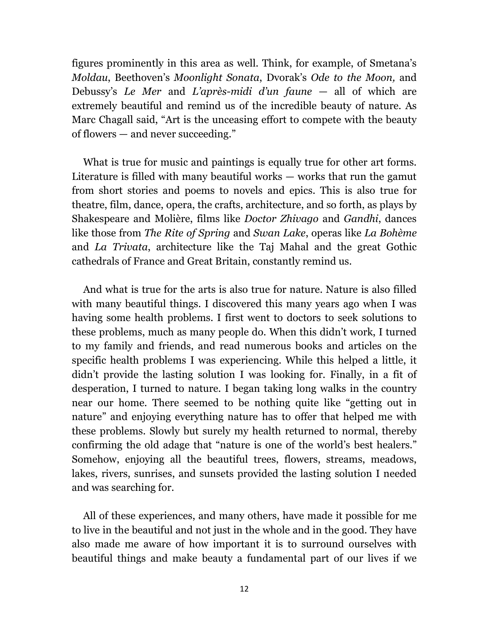figures prominently in this area as well. Think, for example, of Smetana's *Moldau*, Beethoven's *Moonlight Sonata*, Dvorak's *Ode to the Moon,* and Debussy's *Le Mer* and *L'après-midi d'un faune* — all of which are extremely beautiful and remind us of the incredible beauty of nature. As Marc Chagall said, "Art is the unceasing effort to compete with the beauty of flowers — and never succeeding."

What is true for music and paintings is equally true for other art forms. Literature is filled with many beautiful works — works that run the gamut from short stories and poems to novels and epics. This is also true for theatre, film, dance, opera, the crafts, architecture, and so forth, as plays by Shakespeare and Molière, films like *Doctor Zhivago* and *Gandhi*, dances like those from *The Rite of Spring* and *Swan Lake*, operas like *La Bohème* and *La Trivata*, architecture like the Taj Mahal and the great Gothic cathedrals of France and Great Britain, constantly remind us.

And what is true for the arts is also true for nature. Nature is also filled with many beautiful things. I discovered this many years ago when I was having some health problems. I first went to doctors to seek solutions to these problems, much as many people do. When this didn't work, I turned to my family and friends, and read numerous books and articles on the specific health problems I was experiencing. While this helped a little, it didn't provide the lasting solution I was looking for. Finally, in a fit of desperation, I turned to nature. I began taking long walks in the country near our home. There seemed to be nothing quite like "getting out in nature" and enjoying everything nature has to offer that helped me with these problems. Slowly but surely my health returned to normal, thereby confirming the old adage that "nature is one of the world's best healers." Somehow, enjoying all the beautiful trees, flowers, streams, meadows, lakes, rivers, sunrises, and sunsets provided the lasting solution I needed and was searching for.

All of these experiences, and many others, have made it possible for me to live in the beautiful and not just in the whole and in the good. They have also made me aware of how important it is to surround ourselves with beautiful things and make beauty a fundamental part of our lives if we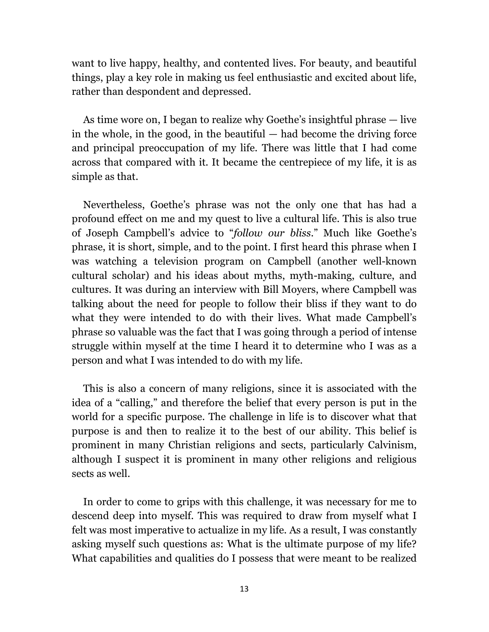want to live happy, healthy, and contented lives. For beauty, and beautiful things, play a key role in making us feel enthusiastic and excited about life, rather than despondent and depressed.

As time wore on, I began to realize why Goethe's insightful phrase — live in the whole, in the good, in the beautiful — had become the driving force and principal preoccupation of my life. There was little that I had come across that compared with it. It became the centrepiece of my life, it is as simple as that.

Nevertheless, Goethe's phrase was not the only one that has had a profound effect on me and my quest to live a cultural life. This is also true of Joseph Campbell's advice to "*follow our bliss*." Much like Goethe's phrase, it is short, simple, and to the point. I first heard this phrase when I was watching a television program on Campbell (another well-known cultural scholar) and his ideas about myths, myth-making, culture, and cultures. It was during an interview with Bill Moyers, where Campbell was talking about the need for people to follow their bliss if they want to do what they were intended to do with their lives. What made Campbell's phrase so valuable was the fact that I was going through a period of intense struggle within myself at the time I heard it to determine who I was as a person and what I was intended to do with my life.

This is also a concern of many religions, since it is associated with the idea of a "calling," and therefore the belief that every person is put in the world for a specific purpose. The challenge in life is to discover what that purpose is and then to realize it to the best of our ability. This belief is prominent in many Christian religions and sects, particularly Calvinism, although I suspect it is prominent in many other religions and religious sects as well.

In order to come to grips with this challenge, it was necessary for me to descend deep into myself. This was required to draw from myself what I felt was most imperative to actualize in my life. As a result, I was constantly asking myself such questions as: What is the ultimate purpose of my life? What capabilities and qualities do I possess that were meant to be realized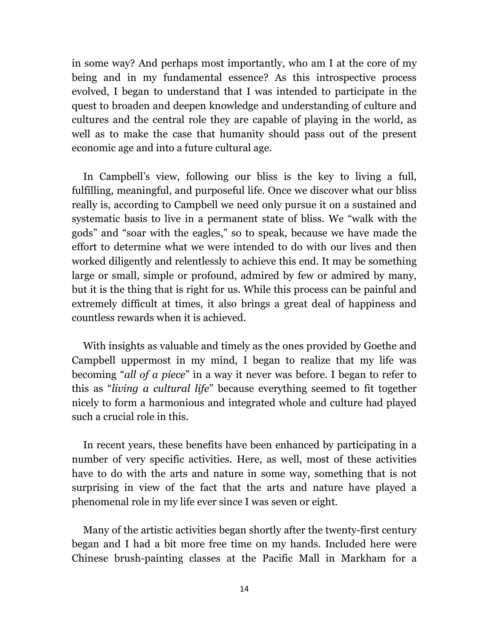in some way? And perhaps most importantly, who am I at the core of my being and in my fundamental essence? As this introspective process evolved, I began to understand that I was intended to participate in the quest to broaden and deepen knowledge and understanding of culture and cultures and the central role they are capable of playing in the world, as well as to make the case that humanity should pass out of the present economic age and into a future cultural age.

In Campbell's view, following our bliss is the key to living a full, fulfilling, meaningful, and purposeful life. Once we discover what our bliss really is, according to Campbell we need only pursue it on a sustained and systematic basis to live in a permanent state of bliss. We "walk with the gods" and "soar with the eagles," so to speak, because we have made the effort to determine what we were intended to do with our lives and then worked diligently and relentlessly to achieve this end. It may be something large or small, simple or profound, admired by few or admired by many, but it is the thing that is right for us. While this process can be painful and extremely difficult at times, it also brings a great deal of happiness and countless rewards when it is achieved.

With insights as valuable and timely as the ones provided by Goethe and Campbell uppermost in my mind, I began to realize that my life was becoming "*all of a piece*" in a way it never was before. I began to refer to this as "*living a cultural life*" because everything seemed to fit together nicely to form a harmonious and integrated whole and culture had played such a crucial role in this.

In recent years, these benefits have been enhanced by participating in a number of very specific activities. Here, as well, most of these activities have to do with the arts and nature in some way, something that is not surprising in view of the fact that the arts and nature have played a phenomenal role in my life ever since I was seven or eight.

Many of the artistic activities began shortly after the twenty-first century began and I had a bit more free time on my hands. Included here were Chinese brush-painting classes at the Pacific Mall in Markham for a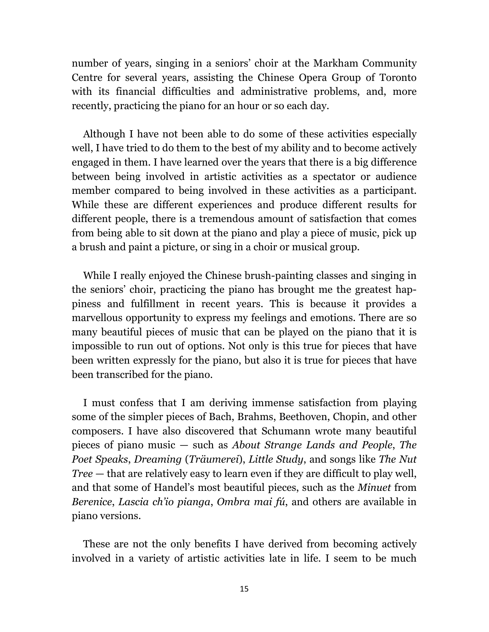number of years, singing in a seniors' choir at the Markham Community Centre for several years, assisting the Chinese Opera Group of Toronto with its financial difficulties and administrative problems, and, more recently, practicing the piano for an hour or so each day.

Although I have not been able to do some of these activities especially well, I have tried to do them to the best of my ability and to become actively engaged in them. I have learned over the years that there is a big difference between being involved in artistic activities as a spectator or audience member compared to being involved in these activities as a participant. While these are different experiences and produce different results for different people, there is a tremendous amount of satisfaction that comes from being able to sit down at the piano and play a piece of music, pick up a brush and paint a picture, or sing in a choir or musical group.

While I really enjoyed the Chinese brush-painting classes and singing in the seniors' choir, practicing the piano has brought me the greatest happiness and fulfillment in recent years. This is because it provides a marvellous opportunity to express my feelings and emotions. There are so many beautiful pieces of music that can be played on the piano that it is impossible to run out of options. Not only is this true for pieces that have been written expressly for the piano, but also it is true for pieces that have been transcribed for the piano.

I must confess that I am deriving immense satisfaction from playing some of the simpler pieces of Bach, Brahms, Beethoven, Chopin, and other composers. I have also discovered that Schumann wrote many beautiful pieces of piano music — such as *About Strange Lands and People*, *The Poet Speaks*, *Dreaming* (*Träumerei*), *Little Study*, and songs like *The Nut Tree* — that are relatively easy to learn even if they are difficult to play well, and that some of Handel's most beautiful pieces, such as the *Minuet* from *Berenice*, *Lascia ch'io pianga*, *Ombra mai fú*, and others are available in piano versions.

These are not the only benefits I have derived from becoming actively involved in a variety of artistic activities late in life. I seem to be much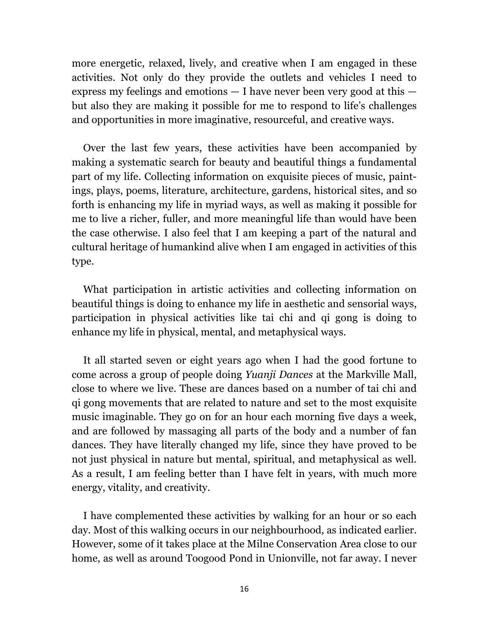more energetic, relaxed, lively, and creative when I am engaged in these activities. Not only do they provide the outlets and vehicles I need to express my feelings and emotions  $-1$  have never been very good at this  $$ but also they are making it possible for me to respond to life's challenges and opportunities in more imaginative, resourceful, and creative ways.

Over the last few years, these activities have been accompanied by making a systematic search for beauty and beautiful things a fundamental part of my life. Collecting information on exquisite pieces of music, paintings, plays, poems, literature, architecture, gardens, historical sites, and so forth is enhancing my life in myriad ways, as well as making it possible for me to live a richer, fuller, and more meaningful life than would have been the case otherwise. I also feel that I am keeping a part of the natural and cultural heritage of humankind alive when I am engaged in activities of this type.

What participation in artistic activities and collecting information on beautiful things is doing to enhance my life in aesthetic and sensorial ways, participation in physical activities like tai chi and qi gong is doing to enhance my life in physical, mental, and metaphysical ways.

It all started seven or eight years ago when I had the good fortune to come across a group of people doing *Yuanji Dances* at the Markville Mall, close to where we live. These are dances based on a number of tai chi and qi gong movements that are related to nature and set to the most exquisite music imaginable. They go on for an hour each morning five days a week, and are followed by massaging all parts of the body and a number of fan dances. They have literally changed my life, since they have proved to be not just physical in nature but mental, spiritual, and metaphysical as well. As a result, I am feeling better than I have felt in years, with much more energy, vitality, and creativity.

I have complemented these activities by walking for an hour or so each day. Most of this walking occurs in our neighbourhood, as indicated earlier. However, some of it takes place at the Milne Conservation Area close to our home, as well as around Toogood Pond in Unionville, not far away. I never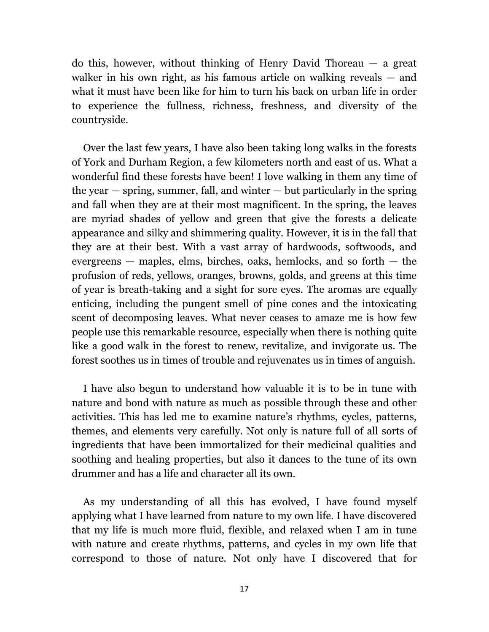do this, however, without thinking of Henry David Thoreau — a great walker in his own right, as his famous article on walking reveals — and what it must have been like for him to turn his back on urban life in order to experience the fullness, richness, freshness, and diversity of the countryside.

Over the last few years, I have also been taking long walks in the forests of York and Durham Region, a few kilometers north and east of us. What a wonderful find these forests have been! I love walking in them any time of the year  $-$  spring, summer, fall, and winter  $-$  but particularly in the spring and fall when they are at their most magnificent. In the spring, the leaves are myriad shades of yellow and green that give the forests a delicate appearance and silky and shimmering quality. However, it is in the fall that they are at their best. With a vast array of hardwoods, softwoods, and evergreens — maples, elms, birches, oaks, hemlocks, and so forth — the profusion of reds, yellows, oranges, browns, golds, and greens at this time of year is breath-taking and a sight for sore eyes. The aromas are equally enticing, including the pungent smell of pine cones and the intoxicating scent of decomposing leaves. What never ceases to amaze me is how few people use this remarkable resource, especially when there is nothing quite like a good walk in the forest to renew, revitalize, and invigorate us. The forest soothes us in times of trouble and rejuvenates us in times of anguish.

I have also begun to understand how valuable it is to be in tune with nature and bond with nature as much as possible through these and other activities. This has led me to examine nature's rhythms, cycles, patterns, themes, and elements very carefully. Not only is nature full of all sorts of ingredients that have been immortalized for their medicinal qualities and soothing and healing properties, but also it dances to the tune of its own drummer and has a life and character all its own.

As my understanding of all this has evolved, I have found myself applying what I have learned from nature to my own life. I have discovered that my life is much more fluid, flexible, and relaxed when I am in tune with nature and create rhythms, patterns, and cycles in my own life that correspond to those of nature. Not only have I discovered that for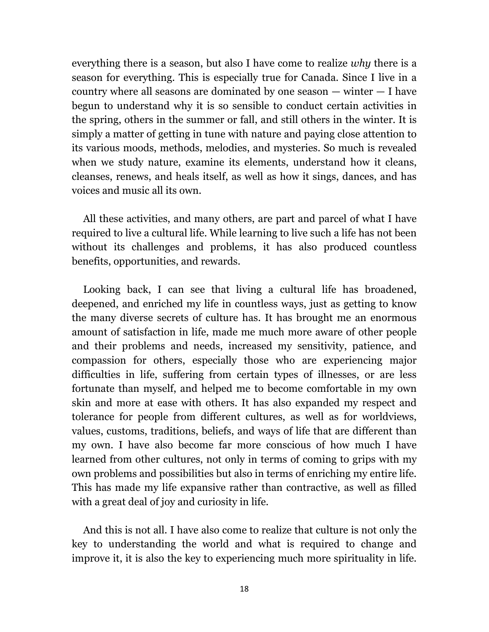everything there is a season, but also I have come to realize *why* there is a season for everything. This is especially true for Canada. Since I live in a country where all seasons are dominated by one season — winter — I have begun to understand why it is so sensible to conduct certain activities in the spring, others in the summer or fall, and still others in the winter. It is simply a matter of getting in tune with nature and paying close attention to its various moods, methods, melodies, and mysteries. So much is revealed when we study nature, examine its elements, understand how it cleans, cleanses, renews, and heals itself, as well as how it sings, dances, and has voices and music all its own.

All these activities, and many others, are part and parcel of what I have required to live a cultural life. While learning to live such a life has not been without its challenges and problems, it has also produced countless benefits, opportunities, and rewards.

Looking back, I can see that living a cultural life has broadened, deepened, and enriched my life in countless ways, just as getting to know the many diverse secrets of culture has. It has brought me an enormous amount of satisfaction in life, made me much more aware of other people and their problems and needs, increased my sensitivity, patience, and compassion for others, especially those who are experiencing major difficulties in life, suffering from certain types of illnesses, or are less fortunate than myself, and helped me to become comfortable in my own skin and more at ease with others. It has also expanded my respect and tolerance for people from different cultures, as well as for worldviews, values, customs, traditions, beliefs, and ways of life that are different than my own. I have also become far more conscious of how much I have learned from other cultures, not only in terms of coming to grips with my own problems and possibilities but also in terms of enriching my entire life. This has made my life expansive rather than contractive, as well as filled with a great deal of joy and curiosity in life.

And this is not all. I have also come to realize that culture is not only the key to understanding the world and what is required to change and improve it, it is also the key to experiencing much more spirituality in life.